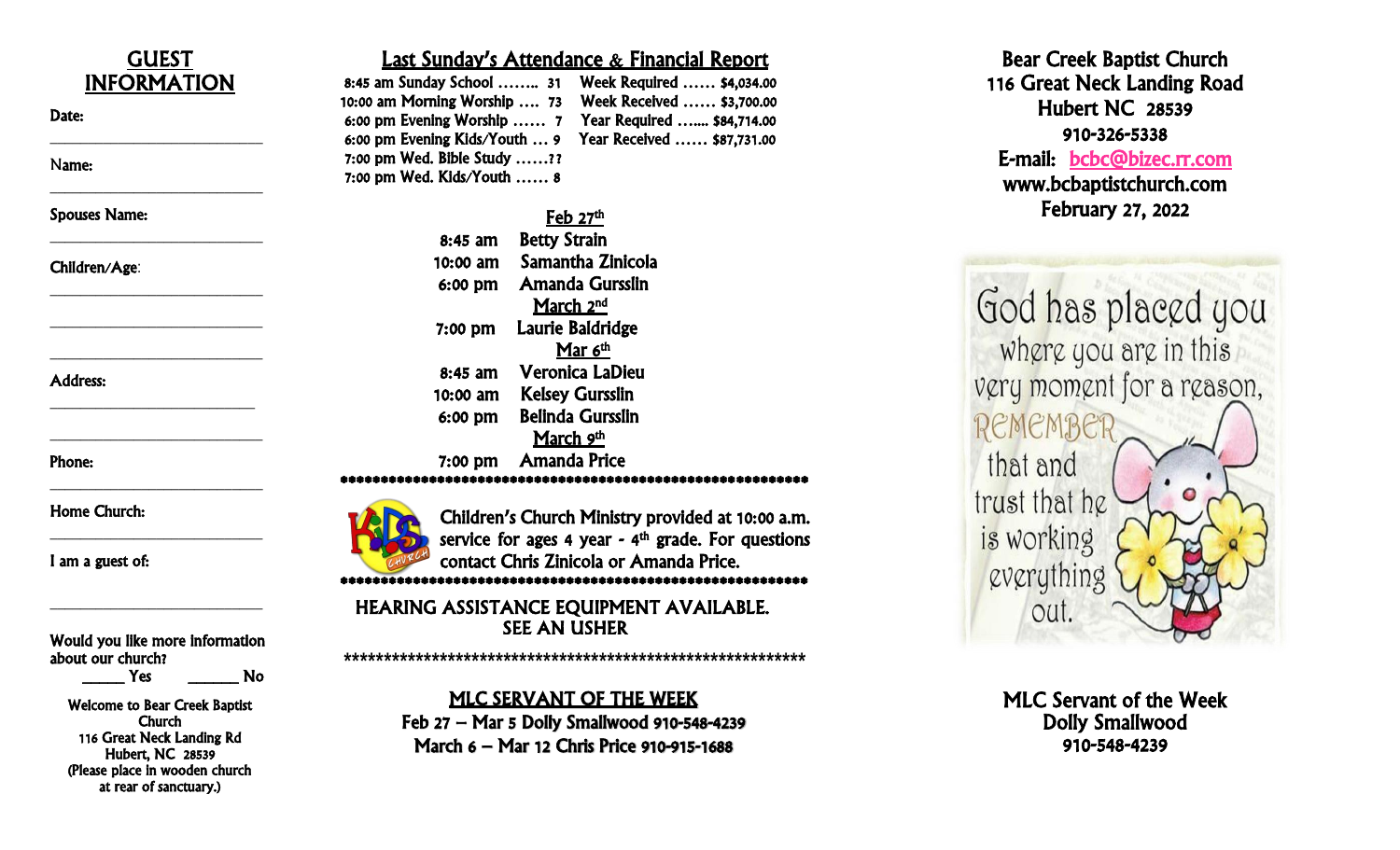| <b>GUEST</b>                         |                                                           | <b>Last Sunday's Attendance &amp; Fina</b>  |  |  |
|--------------------------------------|-----------------------------------------------------------|---------------------------------------------|--|--|
| <b>INFORMATION</b>                   | 8:45 am Sunday School  31 Week Requir                     |                                             |  |  |
| Date:                                | 10:00 am Morning Worship  73                              | <b>Week Receiv</b>                          |  |  |
|                                      | 6:00 pm Evening Worship  7                                | <b>Year Require</b>                         |  |  |
|                                      | 6:00 pm Evening Kids/Youth  9                             | <b>Year Receive</b>                         |  |  |
| Name:                                | 7:00 pm Wed. Bible Study ??<br>7:00 pm Wed. Kids/Youth  8 |                                             |  |  |
| <b>Spouses Name:</b>                 |                                                           | $Feb$ 27 <sup>th</sup>                      |  |  |
|                                      | 8:45 am                                                   | <b>Betty Strain</b>                         |  |  |
|                                      | 10:00 am                                                  | Samantha Zinicola                           |  |  |
| Children/Age:                        | 6:00 pm                                                   | <b>Amanda Gursslin</b>                      |  |  |
|                                      |                                                           | March 2 <sup>nd</sup>                       |  |  |
|                                      |                                                           | Laurie Baldridge                            |  |  |
|                                      | 7:00 pm                                                   | Mar 6th                                     |  |  |
|                                      | 8:45 am                                                   | <b>Veronica LaDieu</b>                      |  |  |
| <b>Address:</b>                      | 10:00 am                                                  | <b>Kelsey Gursslin</b>                      |  |  |
|                                      |                                                           | <b>Belinda Gursslin</b>                     |  |  |
|                                      | 6:00 pm                                                   |                                             |  |  |
|                                      |                                                           | March 9th                                   |  |  |
| Phone:                               | $7:00$ pm                                                 | <b>Amanda Price</b>                         |  |  |
| <b>Home Church:</b>                  |                                                           |                                             |  |  |
|                                      |                                                           | <b>Children's Church Ministry pr</b>        |  |  |
|                                      |                                                           | service for ages 4 year - 4 <sup>th</sup> g |  |  |
| I am a guest of:                     |                                                           | contact Chris Zinicola or Ama               |  |  |
|                                      |                                                           |                                             |  |  |
|                                      | <b>HEARING ASSISTANCE EQUIPMENT</b>                       |                                             |  |  |
| Would you like more information      |                                                           | <b>SEE AN USHER</b>                         |  |  |
| about our church?                    |                                                           |                                             |  |  |
| <b>No.</b><br>Yes                    |                                                           |                                             |  |  |
| <b>Welcome to Bear Creek Baptist</b> |                                                           | <b>MLC SERVANT OF THE W</b>                 |  |  |
| Church                               | Feb 27 - Mar 5 Dolly Smallwood 9                          |                                             |  |  |
| 116 Great Neck Landing Rd            |                                                           | March 6 - Mar 12 Chris Price 910            |  |  |
| <b>Hubert, NC 28539</b>              |                                                           |                                             |  |  |

(Please place in wooden church at rear of sanctuary.)

# nancial Report

uired ……. \$4,034.00 eived …... \$3,700.00 fired ……. \$84,714.00<br>ived …… \$87,731.00

\*\*\*\*\*\*\*\*\*\*\*\*\*\*\*\*\*\*\*\*\*\*\*\*\*\*\*\*\*\*\*\*\*\*\*\*\*\*\*\*\*\*\*\*\*\*\*\*\*\*\*\*\*\*\*\*\*\*

Children's Church Ministry provided at 10:00 a . m . grade. For questions manda Price.

#### \*\*\*\*\*\*\*\*\*\*\*\*\*\*\*\*\*\*\*\*\*\*\*\*\*\*\*\*\*\*\*\*\*\*\*\*\*\*\*\*\*\*\*\*\*\*\*\*\*\*\*\*\*\*\*\*\*\*

SEE AN USHER IT AVAILABLE.

**\*\*\*\*\*\*\*\*\*\*\*\*\*\*\*\*\*\*\*\*\*\*\*\*\*\*\*\*\*\*\*\*\*\*\*\*\*\*\*\*\*\*\*\*\*\*\*\*\*\*\*\*\*\*\*\*\*\***

## **WEEK**

– Mar 5 Dolly Smallwood 910 -548 -4239 March 6 – Mar 12 Chris Price 910 -915 -1688

Bear Cree k Baptist Church 116 Great Neck Landing Road Hubert NC 28539 910 -32 6 E-mail: bcbc@bizec.rr.com www .bcbaptistchurch.com February 2 7, 2022

God has placed you where you are in this very moment for a reason, REMEMBER that and trust that he is working everything out.

> MLC Servant of the Week Dolly Smallwood 910 -548 -4239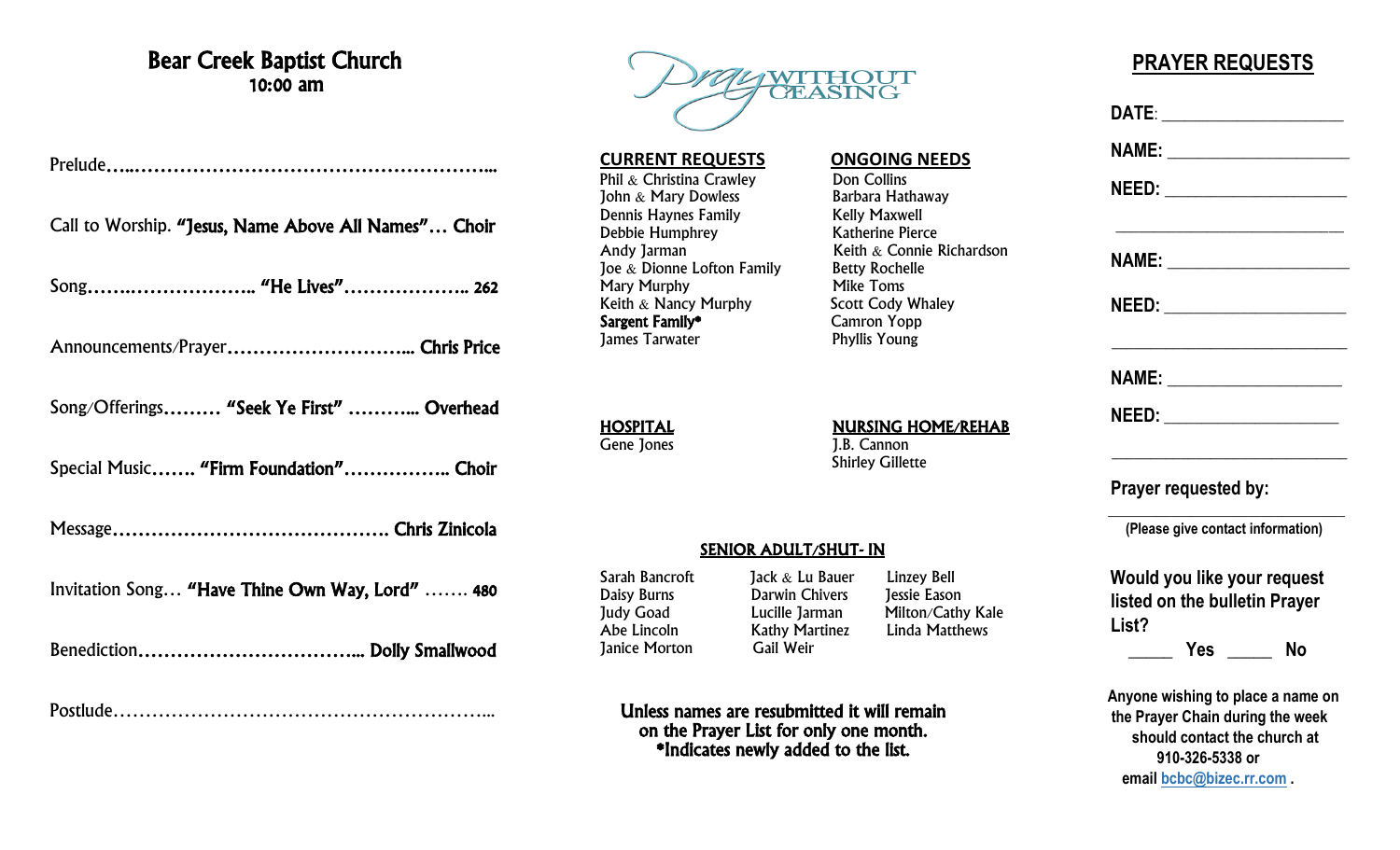### Bear Creek Baptist Church 10:00 am

Prelude…..………………………………………………...

Call to Worship. "Jesus, Name Above All Names"… Choir

Song…….……………….. "He Lives"……………….. 262

Announcements/Prayer………………………... Chris Price

Song/Offerings……… "Seek Ye First" ………... Overhead

Special Music……. "Firm Foundation"…………….. Choir

Message……………………………………. Chris Zinicola

Invitation Song… "Have Thine Own Way, Lord" ……. 480

Benediction……………………………... Dolly Smallwood

Postlude…………………………………………………...



**CURRENT REQUESTS ONGOING NEEDS** Phil & Christina Crawley **Don Collins**<br> **Phil & Mary Dowless** Barbara Hathaway John & Mary Dowless **Barbara Hathaway** Barbara Hathaway Bennis Haynes Family Dennis Haynes Family Debbie Humphrey<br>
Andy Jarman Mathematic Keith & Connie Joe & Dionne Lofton Family Betty Rochelle<br>Mary Murphy Mike Toms Mary Murphy **Mike Toms**<br> **Keith & Nancy Murphy Scott Cody Whaley** Keith & Nancy Murphy<br> **Sargent Family\*** Camron Yopp **Sargent Family\*** Camron Yopp<br>Tames Tarwater **Campion Computer** Phyllis Young **James Tarwater** 

Keith  $\&$  Connie Richardson

HOSPITAL NURSING HOME/REHAB

J.B. Cannon Shirley Gillette

#### SENIOR ADULT/SHUT- IN

Janice Morton Gail Weir

Sarah Bancroft Jack & Lu Bauer Linzey Bell Daisy Burns Darwin Chivers Jessie Eason Judy Goad Lucille Jarman Milton/Cathy Kale Abe Lincoln Kathy Martinez Linda Matthews

Unless names are resubmitted it will remain on the Prayer List for only one month. \*Indicates newly added to the list.

## **PRAYER REQUESTS**

|       | DATE: _______________________                                                                                              |                                                                            |
|-------|----------------------------------------------------------------------------------------------------------------------------|----------------------------------------------------------------------------|
|       |                                                                                                                            |                                                                            |
|       |                                                                                                                            |                                                                            |
|       | the control of the control of the control of the control of the control of<br>NAME: _________________________              |                                                                            |
|       | NEED: ___________________                                                                                                  |                                                                            |
|       | the control of the control of the control of the control of the control of the control of<br>NAME: _______________________ |                                                                            |
|       | <u>NEED:____________________</u>                                                                                           |                                                                            |
|       | Prayer requested by:                                                                                                       | the control of the control of the control of the control of the control of |
|       | (Please give contact information)                                                                                          |                                                                            |
|       | Would you like your request                                                                                                |                                                                            |
|       | listed on the bulletin Prayer                                                                                              |                                                                            |
| List? |                                                                                                                            |                                                                            |
|       | ______ Yes ______ No<br>Anyone wishing to place a name on                                                                  |                                                                            |
|       | the Prayer Chain during the week                                                                                           |                                                                            |
|       | should contact the church at                                                                                               |                                                                            |

**910-326-5338 or email [bcbc@bizec.rr.com](mailto:bcbc@bizec.rr.com) .**